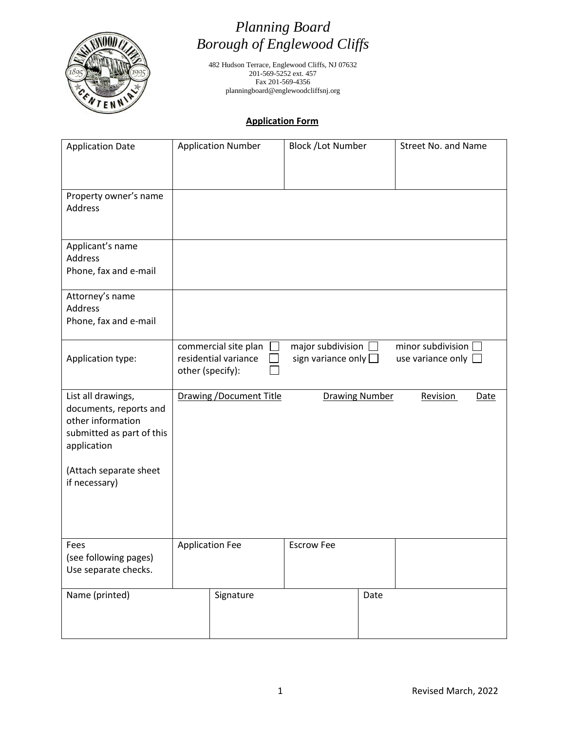

# *Planning Board Borough of Englewood Cliffs*

482 Hudson Terrace, Englewood Cliffs, NJ 07632 201-569-5252 ext. 457 Fax 201-569-4356 planningboard@englewoodcliffsnj.org

### **Application Form**

| <b>Application Date</b>                                                                                       |                  | <b>Application Number</b>                    | <b>Block /Lot Number</b>                                    |                       | Street No. and Name                                  |      |
|---------------------------------------------------------------------------------------------------------------|------------------|----------------------------------------------|-------------------------------------------------------------|-----------------------|------------------------------------------------------|------|
| Property owner's name<br><b>Address</b>                                                                       |                  |                                              |                                                             |                       |                                                      |      |
| Applicant's name<br>Address<br>Phone, fax and e-mail                                                          |                  |                                              |                                                             |                       |                                                      |      |
| Attorney's name<br>Address<br>Phone, fax and e-mail                                                           |                  |                                              |                                                             |                       |                                                      |      |
| Application type:                                                                                             | other (specify): | commercial site plan<br>residential variance | major subdivision $\square$<br>sign variance only $\square$ |                       | minor subdivision $\Box$<br>use variance only $\Box$ |      |
| List all drawings,<br>documents, reports and<br>other information<br>submitted as part of this<br>application |                  | <b>Drawing / Document Title</b>              |                                                             | <b>Drawing Number</b> | <b>Revision</b>                                      | Date |
| (Attach separate sheet<br>if necessary)                                                                       |                  |                                              |                                                             |                       |                                                      |      |
|                                                                                                               |                  |                                              |                                                             |                       |                                                      |      |
| Fees<br>(see following pages)<br>Use separate checks.                                                         |                  | <b>Application Fee</b>                       | <b>Escrow Fee</b>                                           |                       |                                                      |      |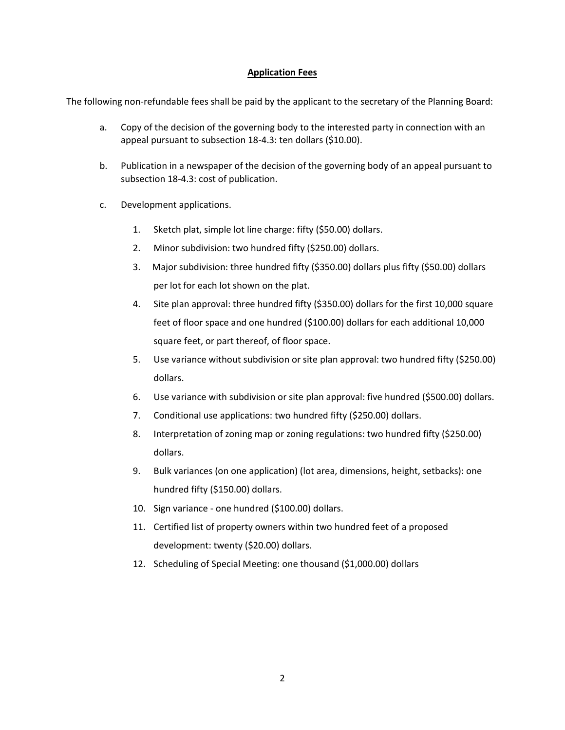### **Application Fees**

The following non-refundable fees shall be paid by the applicant to the secretary of the Planning Board:

- a. Copy of the decision of the governing body to the interested party in connection with an appeal pursuant to subsection 18-4.3: ten dollars (\$10.00).
- b. Publication in a newspaper of the decision of the governing body of an appeal pursuant to subsection 18-4.3: cost of publication.
- c. Development applications.
	- 1. Sketch plat, simple lot line charge: fifty (\$50.00) dollars.
	- 2. Minor subdivision: two hundred fifty (\$250.00) dollars.
	- 3. Major subdivision: three hundred fifty (\$350.00) dollars plus fifty (\$50.00) dollars per lot for each lot shown on the plat.
	- 4. Site plan approval: three hundred fifty (\$350.00) dollars for the first 10,000 square feet of floor space and one hundred (\$100.00) dollars for each additional 10,000 square feet, or part thereof, of floor space.
	- 5. Use variance without subdivision or site plan approval: two hundred fifty (\$250.00) dollars.
	- 6. Use variance with subdivision or site plan approval: five hundred (\$500.00) dollars.
	- 7. Conditional use applications: two hundred fifty (\$250.00) dollars.
	- 8. Interpretation of zoning map or zoning regulations: two hundred fifty (\$250.00) dollars.
	- 9. Bulk variances (on one application) (lot area, dimensions, height, setbacks): one hundred fifty (\$150.00) dollars.
	- 10. Sign variance one hundred (\$100.00) dollars.
	- 11. Certified list of property owners within two hundred feet of a proposed development: twenty (\$20.00) dollars.
	- 12. Scheduling of Special Meeting: one thousand (\$1,000.00) dollars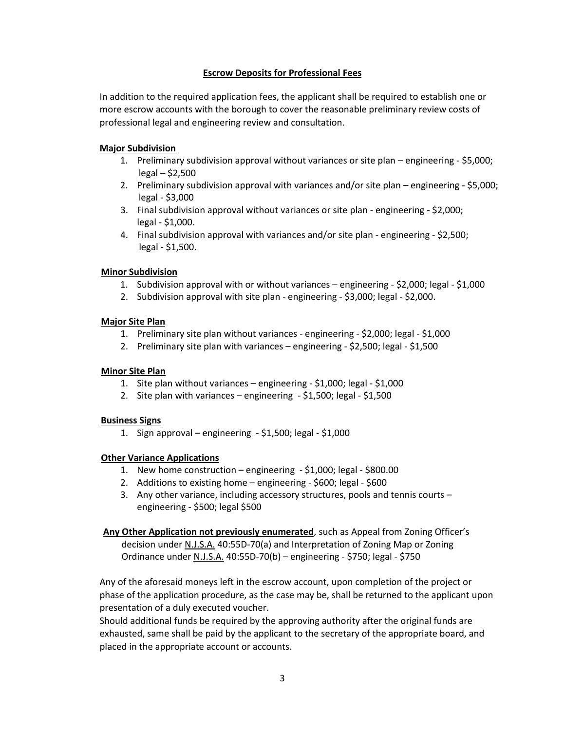### **Escrow Deposits for Professional Fees**

In addition to the required application fees, the applicant shall be required to establish one or more escrow accounts with the borough to cover the reasonable preliminary review costs of professional legal and engineering review and consultation.

### **Major Subdivision**

- 1. Preliminary subdivision approval without variances or site plan engineering \$5,000; legal – \$2,500
- 2. Preliminary subdivision approval with variances and/or site plan engineering \$5,000; legal - \$3,000
- 3. Final subdivision approval without variances or site plan engineering \$2,000; legal - \$1,000.
- 4. Final subdivision approval with variances and/or site plan engineering \$2,500; legal - \$1,500.

### **Minor Subdivision**

- 1. Subdivision approval with or without variances engineering \$2,000; legal \$1,000
- 2. Subdivision approval with site plan engineering \$3,000; legal \$2,000.

### **Major Site Plan**

- 1. Preliminary site plan without variances engineering \$2,000; legal \$1,000
- 2. Preliminary site plan with variances engineering \$2,500; legal \$1,500

### **Minor Site Plan**

- 1. Site plan without variances engineering \$1,000; legal \$1,000
- 2. Site plan with variances engineering \$1,500; legal \$1,500

### **Business Signs**

1. Sign approval – engineering - \$1,500; legal - \$1,000

### **Other Variance Applications**

- 1. New home construction engineering \$1,000; legal \$800.00
- 2. Additions to existing home engineering \$600; legal \$600
- 3. Any other variance, including accessory structures, pools and tennis courts engineering - \$500; legal \$500

#### **Any Other Application not previously enumerated**, such as Appeal from Zoning Officer's decision under N.J.S.A. 40:55D-70(a) and Interpretation of Zoning Map or Zoning

Ordinance under N.J.S.A. 40:55D-70(b) – engineering - \$750; legal - \$750

Any of the aforesaid moneys left in the escrow account, upon completion of the project or phase of the application procedure, as the case may be, shall be returned to the applicant upon presentation of a duly executed voucher.

Should additional funds be required by the approving authority after the original funds are exhausted, same shall be paid by the applicant to the secretary of the appropriate board, and placed in the appropriate account or accounts.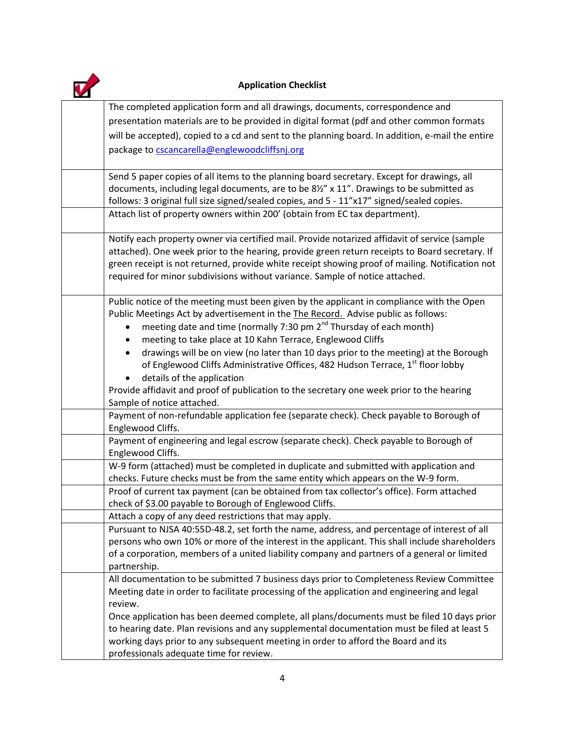

## **Application Checklist**

| The completed application form and all drawings, documents, correspondence and                                                                                                      |
|-------------------------------------------------------------------------------------------------------------------------------------------------------------------------------------|
| presentation materials are to be provided in digital format (pdf and other common formats                                                                                           |
| will be accepted), copied to a cd and sent to the planning board. In addition, e-mail the entire                                                                                    |
| package to cscancarella@englewoodcliffsnj.org                                                                                                                                       |
|                                                                                                                                                                                     |
| Send 5 paper copies of all items to the planning board secretary. Except for drawings, all                                                                                          |
| documents, including legal documents, are to be $8\frac{1}{2}$ " x 11". Drawings to be submitted as                                                                                 |
| follows: 3 original full size signed/sealed copies, and 5 - 11"x17" signed/sealed copies.                                                                                           |
| Attach list of property owners within 200' (obtain from EC tax department).                                                                                                         |
|                                                                                                                                                                                     |
| Notify each property owner via certified mail. Provide notarized affidavit of service (sample                                                                                       |
| attached). One week prior to the hearing, provide green return receipts to Board secretary. If                                                                                      |
| green receipt is not returned, provide white receipt showing proof of mailing. Notification not                                                                                     |
| required for minor subdivisions without variance. Sample of notice attached.                                                                                                        |
| Public notice of the meeting must been given by the applicant in compliance with the Open                                                                                           |
| Public Meetings Act by advertisement in the The Record. Advise public as follows:                                                                                                   |
| meeting date and time (normally 7:30 pm 2 <sup>nd</sup> Thursday of each month)                                                                                                     |
| meeting to take place at 10 Kahn Terrace, Englewood Cliffs                                                                                                                          |
|                                                                                                                                                                                     |
| drawings will be on view (no later than 10 days prior to the meeting) at the Borough<br>of Englewood Cliffs Administrative Offices, 482 Hudson Terrace, 1 <sup>st</sup> floor lobby |
|                                                                                                                                                                                     |
| details of the application                                                                                                                                                          |
| Provide affidavit and proof of publication to the secretary one week prior to the hearing<br>Sample of notice attached.                                                             |
| Payment of non-refundable application fee (separate check). Check payable to Borough of                                                                                             |
| Englewood Cliffs.                                                                                                                                                                   |
| Payment of engineering and legal escrow (separate check). Check payable to Borough of                                                                                               |
| Englewood Cliffs.                                                                                                                                                                   |
| W-9 form (attached) must be completed in duplicate and submitted with application and                                                                                               |
| checks. Future checks must be from the same entity which appears on the W-9 form.                                                                                                   |
| Proof of current tax payment (can be obtained from tax collector's office). Form attached                                                                                           |
| check of \$3.00 payable to Borough of Englewood Cliffs.                                                                                                                             |
| Attach a copy of any deed restrictions that may apply.                                                                                                                              |
| Pursuant to NJSA 40:55D-48.2, set forth the name, address, and percentage of interest of all                                                                                        |
| persons who own 10% or more of the interest in the applicant. This shall include shareholders                                                                                       |
| of a corporation, members of a united liability company and partners of a general or limited                                                                                        |
| partnership.                                                                                                                                                                        |
| All documentation to be submitted 7 business days prior to Completeness Review Committee                                                                                            |
| Meeting date in order to facilitate processing of the application and engineering and legal                                                                                         |
| review.                                                                                                                                                                             |
| Once application has been deemed complete, all plans/documents must be filed 10 days prior                                                                                          |
| to hearing date. Plan revisions and any supplemental documentation must be filed at least 5                                                                                         |
| working days prior to any subsequent meeting in order to afford the Board and its                                                                                                   |
| professionals adequate time for review.                                                                                                                                             |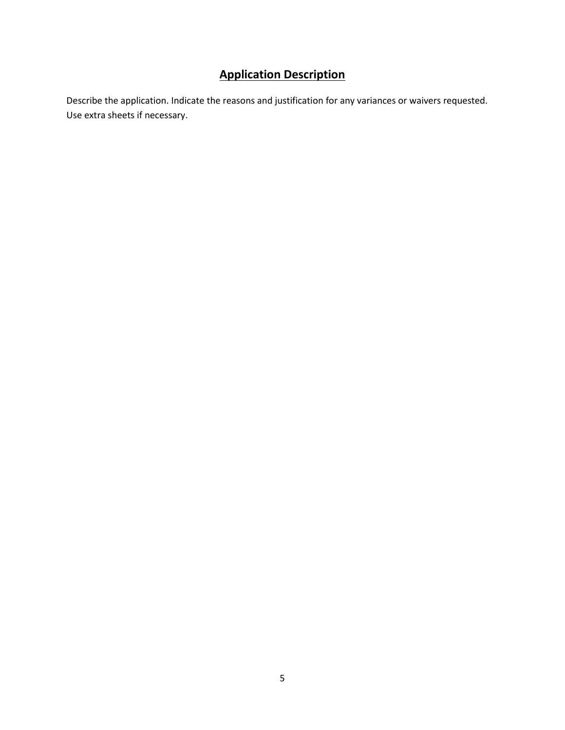## **Application Description**

Describe the application. Indicate the reasons and justification for any variances or waivers requested. Use extra sheets if necessary.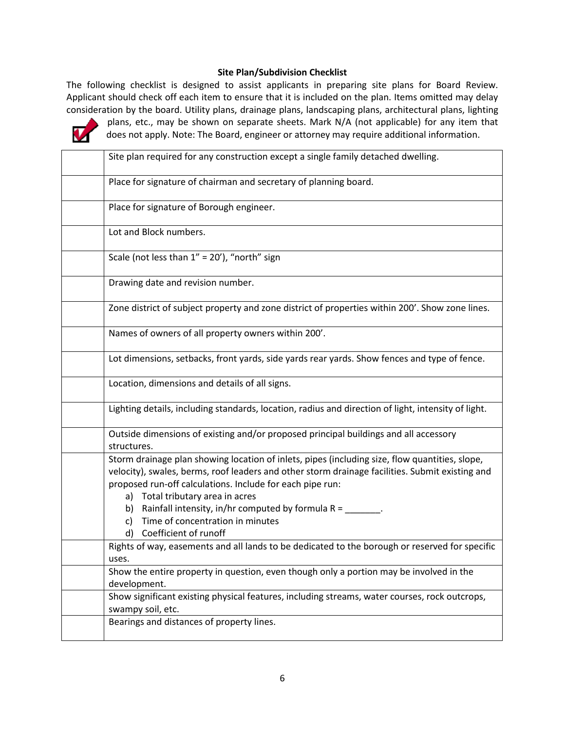### **Site Plan/Subdivision Checklist**

The following checklist is designed to assist applicants in preparing site plans for Board Review. Applicant should check off each item to ensure that it is included on the plan. Items omitted may delay consideration by the board. Utility plans, drainage plans, landscaping plans, architectural plans, lighting



plans, etc., may be shown on separate sheets. Mark N/A (not applicable) for any item that does not apply. Note: The Board, engineer or attorney may require additional information.

| Site plan required for any construction except a single family detached dwelling.                   |
|-----------------------------------------------------------------------------------------------------|
|                                                                                                     |
| Place for signature of chairman and secretary of planning board.                                    |
|                                                                                                     |
| Place for signature of Borough engineer.                                                            |
|                                                                                                     |
| Lot and Block numbers.                                                                              |
|                                                                                                     |
| Scale (not less than 1" = 20'), "north" sign                                                        |
|                                                                                                     |
| Drawing date and revision number.                                                                   |
|                                                                                                     |
| Zone district of subject property and zone district of properties within 200'. Show zone lines.     |
|                                                                                                     |
| Names of owners of all property owners within 200'.                                                 |
|                                                                                                     |
| Lot dimensions, setbacks, front yards, side yards rear yards. Show fences and type of fence.        |
|                                                                                                     |
| Location, dimensions and details of all signs.                                                      |
|                                                                                                     |
| Lighting details, including standards, location, radius and direction of light, intensity of light. |
|                                                                                                     |
| Outside dimensions of existing and/or proposed principal buildings and all accessory                |
| structures.                                                                                         |
| Storm drainage plan showing location of inlets, pipes (including size, flow quantities, slope,      |
| velocity), swales, berms, roof leaders and other storm drainage facilities. Submit existing and     |
| proposed run-off calculations. Include for each pipe run:                                           |
| a) Total tributary area in acres                                                                    |
| b) Rainfall intensity, in/hr computed by formula $R =$ _______.                                     |
| Time of concentration in minutes<br>C)                                                              |
| d) Coefficient of runoff                                                                            |
| Rights of way, easements and all lands to be dedicated to the borough or reserved for specific      |
| uses.                                                                                               |
| Show the entire property in question, even though only a portion may be involved in the             |
| development.                                                                                        |
| Show significant existing physical features, including streams, water courses, rock outcrops,       |
| swampy soil, etc.                                                                                   |
| Bearings and distances of property lines.                                                           |
|                                                                                                     |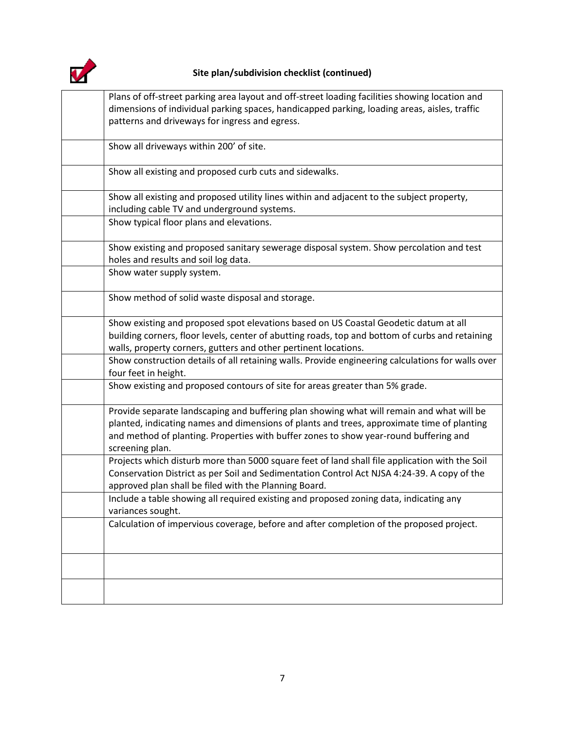

## **Site plan/subdivision checklist (continued)**

| Plans of off-street parking area layout and off-street loading facilities showing location and                                                                                                                                                                                                      |
|-----------------------------------------------------------------------------------------------------------------------------------------------------------------------------------------------------------------------------------------------------------------------------------------------------|
| dimensions of individual parking spaces, handicapped parking, loading areas, aisles, traffic                                                                                                                                                                                                        |
| patterns and driveways for ingress and egress.                                                                                                                                                                                                                                                      |
| Show all driveways within 200' of site.                                                                                                                                                                                                                                                             |
| Show all existing and proposed curb cuts and sidewalks.                                                                                                                                                                                                                                             |
| Show all existing and proposed utility lines within and adjacent to the subject property,                                                                                                                                                                                                           |
| including cable TV and underground systems.<br>Show typical floor plans and elevations.                                                                                                                                                                                                             |
| Show existing and proposed sanitary sewerage disposal system. Show percolation and test<br>holes and results and soil log data.                                                                                                                                                                     |
| Show water supply system.                                                                                                                                                                                                                                                                           |
| Show method of solid waste disposal and storage.                                                                                                                                                                                                                                                    |
| Show existing and proposed spot elevations based on US Coastal Geodetic datum at all                                                                                                                                                                                                                |
| building corners, floor levels, center of abutting roads, top and bottom of curbs and retaining<br>walls, property corners, gutters and other pertinent locations.                                                                                                                                  |
| Show construction details of all retaining walls. Provide engineering calculations for walls over<br>four feet in height.                                                                                                                                                                           |
| Show existing and proposed contours of site for areas greater than 5% grade.                                                                                                                                                                                                                        |
| Provide separate landscaping and buffering plan showing what will remain and what will be<br>planted, indicating names and dimensions of plants and trees, approximate time of planting<br>and method of planting. Properties with buffer zones to show year-round buffering and<br>screening plan. |
| Projects which disturb more than 5000 square feet of land shall file application with the Soil<br>Conservation District as per Soil and Sedimentation Control Act NJSA 4:24-39. A copy of the<br>approved plan shall be filed with the Planning Board.                                              |
| Include a table showing all required existing and proposed zoning data, indicating any<br>variances sought.                                                                                                                                                                                         |
| Calculation of impervious coverage, before and after completion of the proposed project.                                                                                                                                                                                                            |
|                                                                                                                                                                                                                                                                                                     |
|                                                                                                                                                                                                                                                                                                     |
|                                                                                                                                                                                                                                                                                                     |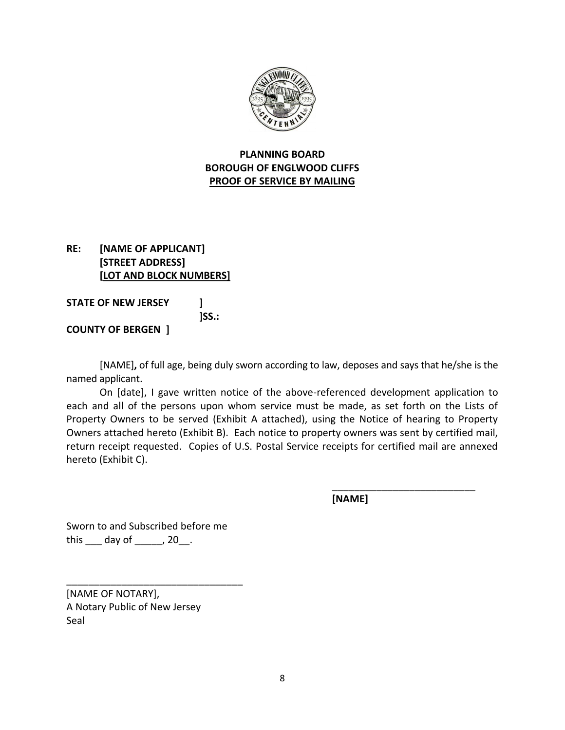

## **PLANNING BOARD BOROUGH OF ENGLWOOD CLIFFS PROOF OF SERVICE BY MAILING**

## **RE: [NAME OF APPLICANT] [STREET ADDRESS] [LOT AND BLOCK NUMBERS]**

**STATE OF NEW JERSEY ] ]SS.: COUNTY OF BERGEN ]**

[NAME]**,** of full age, being duly sworn according to law, deposes and says that he/she is the named applicant.

On [date], I gave written notice of the above-referenced development application to each and all of the persons upon whom service must be made, as set forth on the Lists of Property Owners to be served (Exhibit A attached), using the Notice of hearing to Property Owners attached hereto (Exhibit B). Each notice to property owners was sent by certified mail, return receipt requested. Copies of U.S. Postal Service receipts for certified mail are annexed hereto (Exhibit C).

**[NAME]**

\_\_\_\_\_\_\_\_\_\_\_\_\_\_\_\_\_\_\_\_\_\_\_\_\_\_

Sworn to and Subscribed before me this \_\_\_ day of \_\_\_\_\_, 20\_\_.

\_\_\_\_\_\_\_\_\_\_\_\_\_\_\_\_\_\_\_\_\_\_\_\_\_\_\_\_\_\_\_\_

[NAME OF NOTARY], A Notary Public of New Jersey Seal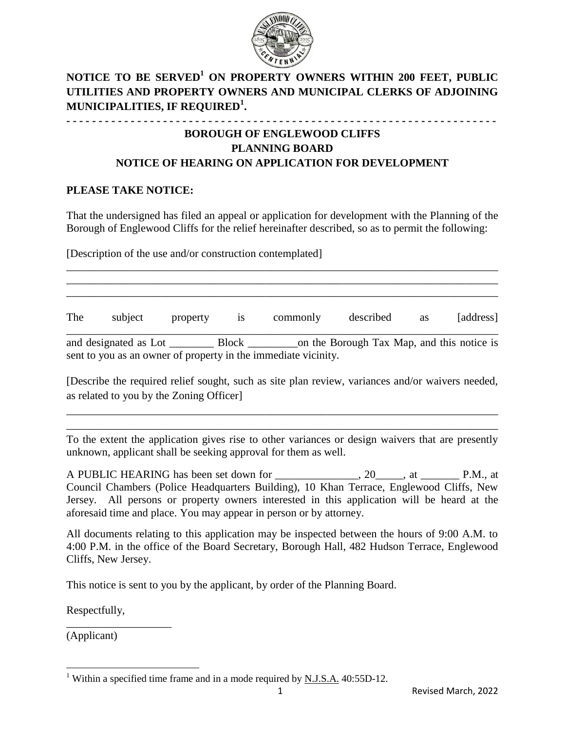

## **NOTICE TO BE SERVED<sup>1</sup> ON PROPERTY OWNERS WITHIN 200 FEET, PUBLIC UTILITIES AND PROPERTY OWNERS AND MUNICIPAL CLERKS OF ADJOINING MUNICIPALITIES, IF REQUIRED<sup>1</sup> .**

## **- - - - - - - - - - - - - - - - - - - - - - - - - - - - - - - - - - - - - - - - - - - - - - - - - - - - - - - - - - - - - - - - - - - BOROUGH OF ENGLEWOOD CLIFFS PLANNING BOARD NOTICE OF HEARING ON APPLICATION FOR DEVELOPMENT**

## **PLEASE TAKE NOTICE:**

That the undersigned has filed an appeal or application for development with the Planning of the Borough of Englewood Cliffs for the relief hereinafter described, so as to permit the following:

\_\_\_\_\_\_\_\_\_\_\_\_\_\_\_\_\_\_\_\_\_\_\_\_\_\_\_\_\_\_\_\_\_\_\_\_\_\_\_\_\_\_\_\_\_\_\_\_\_\_\_\_\_\_\_\_\_\_\_\_\_\_\_\_\_\_\_\_\_\_\_\_\_\_\_\_\_\_ \_\_\_\_\_\_\_\_\_\_\_\_\_\_\_\_\_\_\_\_\_\_\_\_\_\_\_\_\_\_\_\_\_\_\_\_\_\_\_\_\_\_\_\_\_\_\_\_\_\_\_\_\_\_\_\_\_\_\_\_\_\_\_\_\_\_\_\_\_\_\_\_\_\_\_\_\_\_ \_\_\_\_\_\_\_\_\_\_\_\_\_\_\_\_\_\_\_\_\_\_\_\_\_\_\_\_\_\_\_\_\_\_\_\_\_\_\_\_\_\_\_\_\_\_\_\_\_\_\_\_\_\_\_\_\_\_\_\_\_\_\_\_\_\_\_\_\_\_\_\_\_\_\_\_\_\_

[Description of the use and/or construction contemplated]

The subject property is commonly described as [address] \_\_\_\_\_\_\_\_\_\_\_\_\_\_\_\_\_\_\_\_\_\_\_\_\_\_\_\_\_\_\_\_\_\_\_\_\_\_\_\_\_\_\_\_\_\_\_\_\_\_\_\_\_\_\_\_\_\_\_\_\_\_\_\_\_\_\_\_\_\_\_\_\_\_\_\_\_\_ and designated as Lot \_\_\_\_\_\_\_\_\_\_\_\_ Block \_\_\_\_\_\_\_\_\_\_\_\_ on the Borough Tax Map, and this notice is sent to you as an owner of property in the immediate vicinity.

[Describe the required relief sought, such as site plan review, variances and/or waivers needed, as related to you by the Zoning Officer]

\_\_\_\_\_\_\_\_\_\_\_\_\_\_\_\_\_\_\_\_\_\_\_\_\_\_\_\_\_\_\_\_\_\_\_\_\_\_\_\_\_\_\_\_\_\_\_\_\_\_\_\_\_\_\_\_\_\_\_\_\_\_\_\_\_\_\_\_\_\_\_\_\_\_\_\_\_\_ \_\_\_\_\_\_\_\_\_\_\_\_\_\_\_\_\_\_\_\_\_\_\_\_\_\_\_\_\_\_\_\_\_\_\_\_\_\_\_\_\_\_\_\_\_\_\_\_\_\_\_\_\_\_\_\_\_\_\_\_\_\_\_\_\_\_\_\_\_\_\_\_\_\_\_\_\_\_

To the extent the application gives rise to other variances or design waivers that are presently unknown, applicant shall be seeking approval for them as well.

A PUBLIC HEARING has been set down for \_\_\_\_\_\_\_\_\_\_\_\_\_\_, 20\_\_\_\_\_, at \_\_\_\_\_\_\_\_\_ P.M., at Council Chambers (Police Headquarters Building), 10 Khan Terrace, Englewood Cliffs, New Jersey. All persons or property owners interested in this application will be heard at the aforesaid time and place. You may appear in person or by attorney.

All documents relating to this application may be inspected between the hours of 9:00 A.M. to 4:00 P.M. in the office of the Board Secretary, Borough Hall, 482 Hudson Terrace, Englewood Cliffs, New Jersey.

This notice is sent to you by the applicant, by order of the Planning Board.

Respectfully,

\_\_\_\_\_\_\_\_\_\_\_\_\_\_\_\_\_\_\_

(Applicant)

 $\overline{\phantom{a}}$ 

<sup>&</sup>lt;sup>1</sup> Within a specified time frame and in a mode required by <u>N.J.S.A.</u> 40:55D-12.